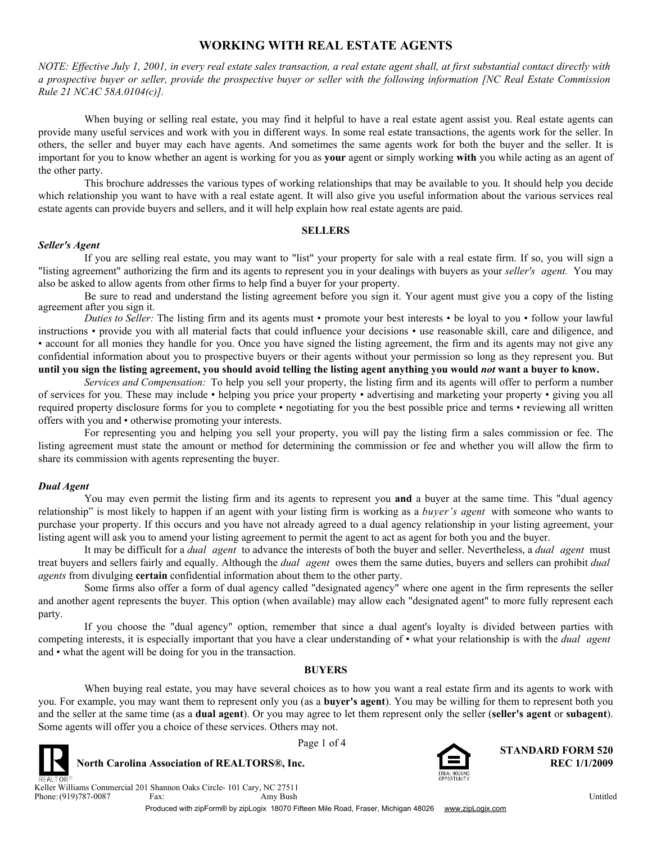# **WORKING WITH REAL ESTATE AGENTS**

*NOTE: Effective July 1, 2001, in every real estate sales transaction, a real estate agent shall, at first substantial contact directly with a prospective buyer or seller, provide the prospective buyer or seller with the following information [NC Real Estate Commission Rule 21 NCAC 58A.0104(c)].*

When buying or selling real estate, you may find it helpful to have a real estate agent assist you. Real estate agents can provide many useful services and work with you in different ways. In some real estate transactions, the agents work for the seller. In others, the seller and buyer may each have agents. And sometimes the same agents work for both the buyer and the seller. It is important for you to know whether an agent is working for you as **your** agent or simply working **with** you while acting as an agent of the other party.

This brochure addresses the various types of working relationships that may be available to you. It should help you decide which relationship you want to have with a real estate agent. It will also give you useful information about the various services real estate agents can provide buyers and sellers, and it will help explain how real estate agents are paid.

#### **SELLERS**

#### *Seller's Agent*

If you are selling real estate, you may want to "list" your property for sale with a real estate firm. If so, you will sign a "listing agreement" authorizing the firm and its agents to represent you in your dealings with buyers as your *seller's agent.* You may also be asked to allow agents from other firms to help find a buyer for your property.

Be sure to read and understand the listing agreement before you sign it. Your agent must give you a copy of the listing agreement after you sign it.

*Duties to Seller:* The listing firm and its agents must • promote your best interests • be loyal to you • follow your lawful instructions • provide you with all material facts that could influence your decisions • use reasonable skill, care and diligence, and • account for all monies they handle for you. Once you have signed the listing agreement, the firm and its agents may not give any confidential information about you to prospective buyers or their agents without your permission so long as they represent you. But **until you sign the listing agreement, you should avoid telling the listing agent anything you would** *not* **want a buyer to know.**

*Services and Compensation:* To help you sell your property, the listing firm and its agents will offer to perform a number of services for you. These may include • helping you price your property • advertising and marketing your property • giving you all required property disclosure forms for you to complete • negotiating for you the best possible price and terms • reviewing all written offers with you and • otherwise promoting your interests.

For representing you and helping you sell your property, you will pay the listing firm a sales commission or fee. The listing agreement must state the amount or method for determining the commission or fee and whether you will allow the firm to share its commission with agents representing the buyer.

## *Dual Agent*

You may even permit the listing firm and its agents to represent you **and** a buyer at the same time. This "dual agency relationship" is most likely to happen if an agent with your listing firm is working as a *buyer's agent* with someone who wants to purchase your property. If this occurs and you have not already agreed to a dual agency relationship in your listing agreement, your listing agent will ask you to amend your listing agreement to permit the agent to act as agent for both you and the buyer.

It may be difficult for a *dual agent* to advance the interests of both the buyer and seller. Nevertheless, a *dual agent* must treat buyers and sellers fairly and equally. Although the *dual agent* owes them the same duties, buyers and sellers can prohibit *dual agents* from divulging **certain** confidential information about them to the other party.

Some firms also offer a form of dual agency called "designated agency" where one agent in the firm represents the seller and another agent represents the buyer. This option (when available) may allow each "designated agent" to more fully represent each party.

If you choose the "dual agency" option, remember that since a dual agent's loyalty is divided between parties with competing interests, it is especially important that you have a clear understanding of • what your relationship is with the *dual agent* and • what the agent will be doing for you in the transaction.

## **BUYERS**

When buying real estate, you may have several choices as to how you want a real estate firm and its agents to work with you. For example, you may want them to represent only you (as a **buyer's agent**). You may be willing for them to represent both you and the seller at the same time (as a **dual agent**). Or you may agree to let them represent only the seller (**seller's agent** or **subagent**). Some agents will offer you a choice of these services. Others may not.





Page 1 of 4 **STANDARD FORM 520 North Carolina Association of REALTORS®, Inc. REC 1/1/2009 REC 1/1/2009** 

Phone: (919)787-0087 Fax: Keller Williams Commercial 201 Shannon Oaks Circle- 101 Cary, NC 27511 (919)787-0087 Fax: Amy Bush Christene and Amy Bush Christene and Amy District of the Untitled

Produced with zipForm® by zipLogix 18070 Fifteen Mile Road, Fraser, Michigan 48026 www.zipLogix.com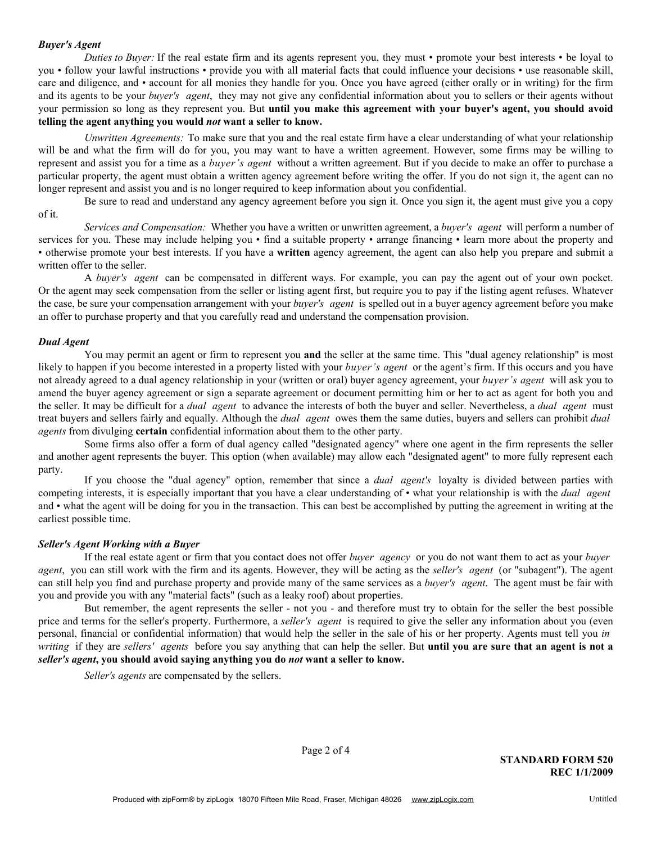#### *Buyer's Agent*

*Duties to Buyer:* If the real estate firm and its agents represent you, they must • promote your best interests • be loyal to you • follow your lawful instructions • provide you with all material facts that could influence your decisions • use reasonable skill, care and diligence, and • account for all monies they handle for you. Once you have agreed (either orally or in writing) for the firm and its agents to be your *buyer's agent*, they may not give any confidential information about you to sellers or their agents without your permission so long as they represent you. But **until you make this agreement with your buyer's agent, you should avoid telling the agent anything you would** *not* **want a seller to know.**

*Unwritten Agreements:* To make sure that you and the real estate firm have a clear understanding of what your relationship will be and what the firm will do for you, you may want to have a written agreement. However, some firms may be willing to represent and assist you for a time as a *buyer's agent* without a written agreement. But if you decide to make an offer to purchase a particular property, the agent must obtain a written agency agreement before writing the offer. If you do not sign it, the agent can no longer represent and assist you and is no longer required to keep information about you confidential.

Be sure to read and understand any agency agreement before you sign it. Once you sign it, the agent must give you a copy of it.

*Services and Compensation:* Whether you have a written or unwritten agreement, a *buyer's agent* will perform a number of services for you. These may include helping you • find a suitable property • arrange financing • learn more about the property and • otherwise promote your best interests. If you have a **written** agency agreement, the agent can also help you prepare and submit a written offer to the seller.

A *buyer's agent* can be compensated in different ways. For example, you can pay the agent out of your own pocket. Or the agent may seek compensation from the seller or listing agent first, but require you to pay if the listing agent refuses. Whatever the case, be sure your compensation arrangement with your *buyer's agent* is spelled out in a buyer agency agreement before you make an offer to purchase property and that you carefully read and understand the compensation provision.

#### *Dual Agent*

You may permit an agent or firm to represent you **and** the seller at the same time. This "dual agency relationship" is most likely to happen if you become interested in a property listed with your *buyer's agent* or the agent's firm. If this occurs and you have not already agreed to a dual agency relationship in your (written or oral) buyer agency agreement, your *buyer's agent* will ask you to amend the buyer agency agreement or sign a separate agreement or document permitting him or her to act as agent for both you and the seller. It may be difficult for a *dual agent* to advance the interests of both the buyer and seller. Nevertheless, a *dual agent* must treat buyers and sellers fairly and equally. Although the *dual agent* owes them the same duties, buyers and sellers can prohibit *dual agents* from divulging **certain** confidential information about them to the other party.

Some firms also offer a form of dual agency called "designated agency" where one agent in the firm represents the seller and another agent represents the buyer. This option (when available) may allow each "designated agent" to more fully represent each party.

If you choose the "dual agency" option, remember that since a *dual agent's* loyalty is divided between parties with competing interests, it is especially important that you have a clear understanding of • what your relationship is with the *dual agent* and • what the agent will be doing for you in the transaction. This can best be accomplished by putting the agreement in writing at the earliest possible time.

### *Seller's Agent Working with a Buyer*

If the real estate agent or firm that you contact does not offer *buyer agency* or you do not want them to act as your *buyer agent*, you can still work with the firm and its agents. However, they will be acting as the *seller's agent* (or "subagent"). The agent can still help you find and purchase property and provide many of the same services as a *buyer's agent*. The agent must be fair with you and provide you with any "material facts" (such as a leaky roof) about properties.

But remember, the agent represents the seller - not you - and therefore must try to obtain for the seller the best possible price and terms for the seller's property. Furthermore, a *seller's agent* is required to give the seller any information about you (even personal, financial or confidential information) that would help the seller in the sale of his or her property. Agents must tell you *in writing* if they are *sellers' agents* before you say anything that can help the seller. But **until you are sure that an agent is not a** *seller's agent***, you should avoid saying anything you do** *not* **want a seller to know.**

*Seller's agents* are compensated by the sellers.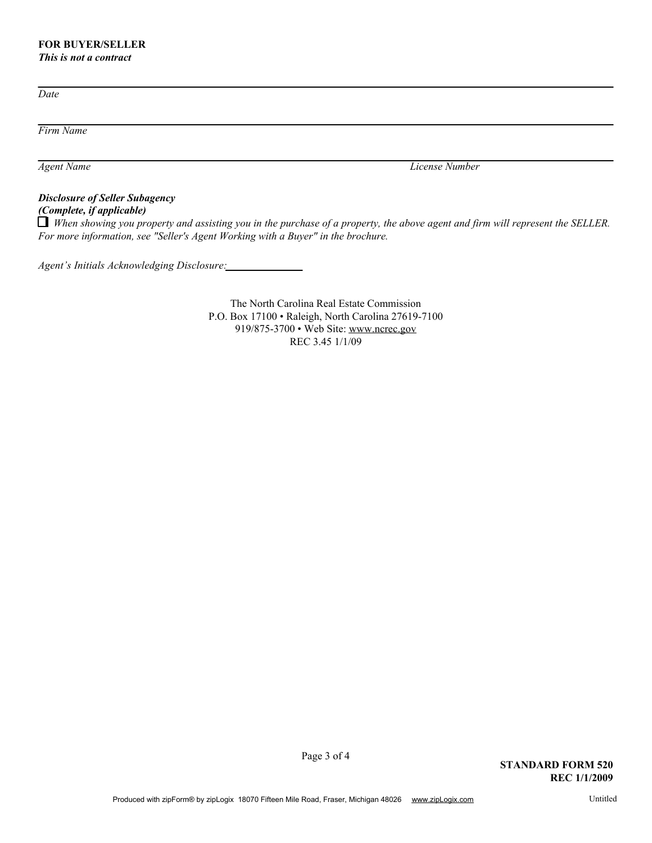# **FOR BUYER/SELLER**

*This is not a contract*

*Date*

*Firm Name*

*Agent Name License Number*

# *Disclosure of Seller Subagency (Complete, if applicable)*

*When showing you property and assisting you in the purchase of a property, the above agent and firm will represent the SELLER. For more information, see "Seller's Agent Working with a Buyer" in the brochure.*

*Agent's Initials Acknowledging Disclosure:*

The North Carolina Real Estate Commission P.O. Box 17100 • Raleigh, North Carolina 27619-7100 919/875-3700 • Web Site: www.ncrec.gov REC 3.45 1/1/09

Page 3 of 4